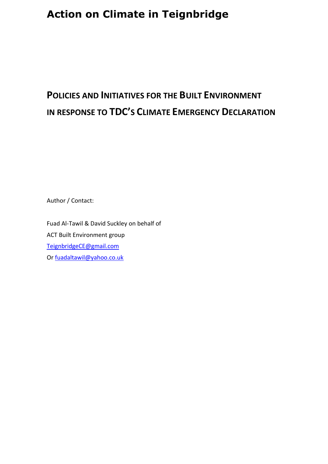# **POLICIES AND INITIATIVES FOR THE BUILT ENVIRONMENT IN RESPONSE TO TDC'S CLIMATE EMERGENCY DECLARATION**

Author / Contact:

Fuad Al-Tawil & David Suckley on behalf of ACT Built Environment group [TeignbridgeCE@gmail.com](mailto:TeignbridgeCE@gmail.com) Or [fuadaltawil@yahoo.co.uk](mailto:fuadaltawil@yahoo.co.uk)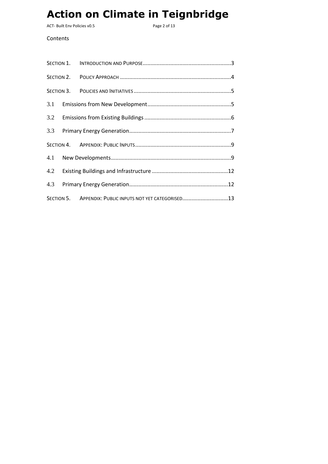ACT- Built Env Policies v0.5 extending the Magne 2 of 13

### Contents

| SECTION 5. APPENDIX: PUBLIC INPUTS NOT YET CATEGORISED13 |  |  |  |
|----------------------------------------------------------|--|--|--|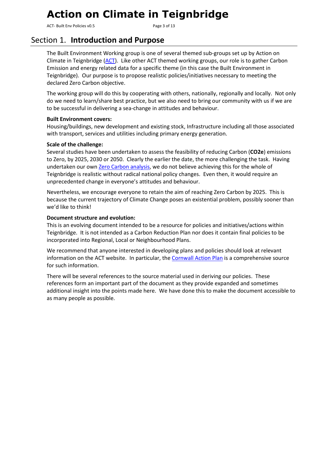ACT- Built Env Policies v0.5 extending the Second Page 3 of 13

## <span id="page-2-0"></span>Section 1. **Introduction and Purpose**

The Built Environment Working group is one of several themed sub-groups set up by Action on Climate in Teignbridge [\(ACT\)](http://teignenergycommunities.co.uk/climate-emergency/). Like other ACT themed working groups, our role is to gather Carbon Emission and energy related data for a specific theme (in this case the Built Environment in Teignbridge). Our purpose is to propose realistic policies/initiatives necessary to meeting the declared Zero Carbon objective.

The working group will do this by cooperating with others, nationally, regionally and locally. Not only do we need to learn/share best practice, but we also need to bring our community with us if we are to be successful in delivering a sea-change in attitudes and behaviour.

### **Built Environment covers:**

Housing/buildings, new development and existing stock, Infrastructure including all those associated with transport, services and utilities including primary energy generation.

### **Scale of the challenge:**

Several studies have been undertaken to assess the feasibility of reducing Carbon (**CO2e**) emissions to Zero, by 2025, 2030 or 2050. Clearly the earlier the date, the more challenging the task. Having undertaken our own [Zero Carbon analysis,](http://teignenergycommunities.co.uk/wp-content/uploads/2019/09/TECs-Zero-Carbon-v0.11.pdf) we do not believe achieving this for the whole of Teignbridge is realistic without radical national policy changes. Even then, it would require an unprecedented change in everyone's attitudes and behaviour.

Nevertheless, we encourage everyone to retain the aim of reaching Zero Carbon by 2025. This is because the current trajectory of Climate Change poses an existential problem, possibly sooner than we'd like to think!

### **Document structure and evolution:**

This is an evolving document intended to be a resource for policies and initiatives/actions within Teignbridge. It is not intended as a Carbon Reduction Plan nor does it contain final policies to be incorporated into Regional, Local or Neighbourhood Plans.

We recommend that anyone interested in developing plans and policies should look at relevant information on the ACT website. In particular, the [Cornwall Action Plan](http://teignenergycommunities.co.uk/wp-content/uploads/2019/09/Cornwall-Council-Climate-change-action-plan-July-2019.pdf) is a comprehensive source for such information.

There will be several references to the source material used in deriving our policies. These references form an important part of the document as they provide expanded and sometimes additional insight into the points made here. We have done this to make the document accessible to as many people as possible.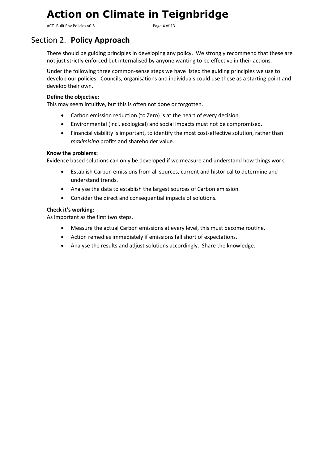ACT- Built Env Policies v0.5 extending the Second Page 4 of 13

### <span id="page-3-0"></span>Section 2. **Policy Approach**

There should be guiding principles in developing any policy. We strongly recommend that these are not just strictly enforced but internalised by anyone wanting to be effective in their actions.

Under the following three common-sense steps we have listed the guiding principles we use to develop our policies. Councils, organisations and individuals could use these as a starting point and develop their own.

### **Define the objective:**

This may seem intuitive, but this is often not done or forgotten.

- Carbon emission reduction (to Zero) is at the heart of every decision.
- Environmental (incl. ecological) and social impacts must not be compromised.
- Financial viability is important, to identify the most cost-effective solution, rather than *maximising* profits and shareholder value.

#### **Know the problems:**

Evidence based solutions can only be developed if we measure and understand how things work.

- Establish Carbon emissions from all sources, current and historical to determine and understand trends.
- Analyse the data to establish the largest sources of Carbon emission.
- Consider the direct and consequential impacts of solutions.

#### **Check it's working:**

As important as the first two steps.

- Measure the actual Carbon emissions at every level, this must become routine.
- Action remedies immediately if emissions fall short of expectations.
- Analyse the results and adjust solutions accordingly. Share the knowledge.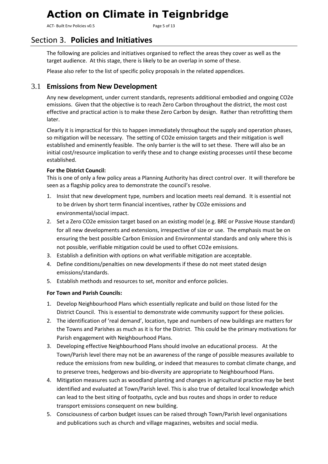ACT- Built Env Policies v0.5 extending the South Page 5 of 13

### <span id="page-4-0"></span>Section 3. **Policies and Initiatives**

The following are policies and initiatives organised to reflect the areas they cover as well as the target audience. At this stage, there is likely to be an overlap in some of these.

Please also refer to the list of specific policy proposals in the related appendices.

### <span id="page-4-1"></span>3.1 **Emissions from New Development**

Any new development, under current standards, represents additional embodied and ongoing CO2e emissions. Given that the objective is to reach Zero Carbon throughout the district, the most cost effective and practical action is to make these Zero Carbon by design. Rather than retrofitting them later.

Clearly it is impractical for this to happen immediately throughout the supply and operation phases, so mitigation will be necessary. The setting of CO2e emission targets and their mitigation is well established and eminently feasible. The only barrier is the will to set these. There will also be an initial cost/resource implication to verify these and to change existing processes until these become established.

### **For the District Council:**

This is one of only a few policy areas a Planning Authority has direct control over. It will therefore be seen as a flagship policy area to demonstrate the council's resolve.

- 1. Insist that new development type, numbers and location meets real demand. It is essential not to be driven by short term financial incentives, rather by CO2e emissions and environmental/social impact.
- 2. Set a Zero CO2e emission target based on an existing model (e.g. BRE or Passive House standard) for all new developments and extensions, irrespective of size or use. The emphasis must be on ensuring the best possible Carbon Emission and Environmental standards and only where this is not possible, verifiable mitigation could be used to offset CO2e emissions.
- 3. Establish a definition with options on what verifiable mitigation are acceptable.
- 4. Define conditions/penalties on new developments if these do not meet stated design emissions/standards.
- 5. Establish methods and resources to set, monitor and enforce policies.

### **For Town and Parish Councils:**

- 1. Develop Neighbourhood Plans which essentially replicate and build on those listed for the District Council. This is essential to demonstrate wide community support for these policies.
- 2. The identification of 'real demand', location, type and numbers of new buildings are matters for the Towns and Parishes as much as it is for the District. This could be the primary motivations for Parish engagement with Neighbourhood Plans.
- 3. Developing effective Neighbourhood Plans should involve an educational process. At the Town/Parish level there may not be an awareness of the range of possible measures available to reduce the emissions from new building, or indeed that measures to combat climate change, and to preserve trees, hedgerows and bio-diversity are appropriate to Neighbourhood Plans.
- 4. Mitigation measures such as woodland planting and changes in agricultural practice may be best identified and evaluated at Town/Parish level. This is also true of detailed local knowledge which can lead to the best siting of footpaths, cycle and bus routes and shops in order to reduce transport emissions consequent on new building.
- 5. Consciousness of carbon budget issues can be raised through Town/Parish level organisations and publications such as church and village magazines, websites and social media.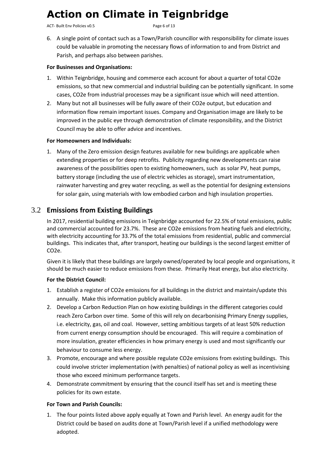ACT- Built Env Policies v0.5 extending the Second Page 6 of 13

6. A single point of contact such as a Town/Parish councillor with responsibility for climate issues could be valuable in promoting the necessary flows of information to and from District and Parish, and perhaps also between parishes.

#### **For Businesses and Organisations:**

- 1. Within Teignbridge, housing and commerce each account for about a quarter of total CO2e emissions, so that new commercial and industrial building can be potentially significant. In some cases, CO2e from industrial processes may be a significant issue which will need attention.
- 2. Many but not all businesses will be fully aware of their CO2e output, but education and information flow remain important issues. Company and Organisation image are likely to be improved in the public eye through demonstration of climate responsibility, and the District Council may be able to offer advice and incentives.

### **For Homeowners and Individuals:**

1. Many of the Zero emission design features available for new buildings are applicable when extending properties or for deep retrofits. Publicity regarding new developments can raise awareness of the possibilities open to existing homeowners, such as solar PV, heat pumps, battery storage (including the use of electric vehicles as storage), smart instrumentation, rainwater harvesting and grey water recycling, as well as the potential for designing extensions for solar gain, using materials with low embodied carbon and high insulation properties.

### <span id="page-5-0"></span>3.2 **Emissions from Existing Buildings**

In 2017, residential building emissions in Teignbridge accounted for 22.5% of total emissions, public and commercial accounted for 23.7%. These are CO2e emissions from heating fuels and electricity, with electricity accounting for 33.7% of the total emissions from residential, public and commercial buildings. This indicates that, after transport, heating our buildings is the second largest emitter of CO2e.

Given it is likely that these buildings are largely owned/operated by local people and organisations, it should be much easier to reduce emissions from these. Primarily Heat energy, but also electricity.

#### **For the District Council:**

- 1. Establish a register of CO2e emissions for all buildings in the district and maintain/update this annually. Make this information publicly available.
- 2. Develop a Carbon Reduction Plan on how existing buildings in the different categories could reach Zero Carbon over time. Some of this will rely on decarbonising Primary Energy supplies, i.e. electricity, gas, oil and coal. However, setting ambitious targets of at least 50% reduction from current energy consumption should be encouraged. This will require a combination of more insulation, greater efficiencies in how primary energy is used and most significantly our behaviour to consume less energy.
- 3. Promote, encourage and where possible regulate CO2e emissions from existing buildings. This could involve stricter implementation (with penalties) of national policy as well as incentivising those who exceed minimum performance targets.
- 4. Demonstrate commitment by ensuring that the council itself has set and is meeting these policies for its own estate.

#### **For Town and Parish Councils:**

1. The four points listed above apply equally at Town and Parish level. An energy audit for the District could be based on audits done at Town/Parish level if a unified methodology were adopted.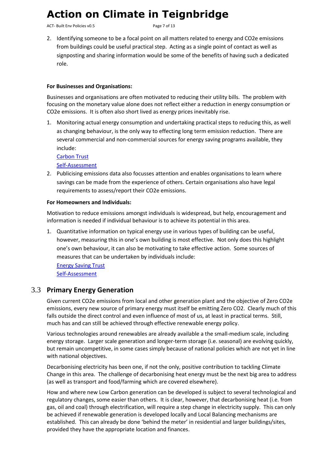ACT- Built Env Policies v0.5 extending the Second Page 7 of 13

2. Identifying someone to be a focal point on all matters related to energy and CO2e emissions from buildings could be useful practical step. Acting as a single point of contact as well as signposting and sharing information would be some of the benefits of having such a dedicated role.

#### **For Businesses and Organisations:**

Businesses and organisations are often motivated to reducing their utility bills. The problem with focusing on the monetary value alone does not reflect either a reduction in energy consumption or CO2e emissions. It is often also short lived as energy prices inevitably rise.

1. Monitoring actual energy consumption and undertaking practical steps to reducing this, as well as changing behaviour, is the only way to effecting long term emission reduction. There are several commercial and non-commercial sources for energy saving programs available, they include:

[Carbon Trust](https://www.carbontrust.com/home/) [Self-Assessment](http://teignenergycommunities.co.uk/wp-content/uploads/2019/02/TECs-Energy-Assesment-Introduction-v1.1.pdf)

2. Publicising emissions data also focusses attention and enables organisations to learn where savings can be made from the experience of others. Certain organisations also have legal requirements to assess/report their CO2e emissions.

#### **For Homeowners and Individuals:**

Motivation to reduce emissions amongst individuals is widespread, but help, encouragement and information is needed if individual behaviour is to achieve its potential in this area.

1. Quantitative information on typical energy use in various types of building can be useful, however, measuring this in one's own building is most effective. Not only does this highlight one's own behaviour, it can also be motivating to take effective action. Some sources of measures that can be undertaken by individuals include:

[Energy Saving Trust](https://www.energysavingtrust.org.uk/renewable-energy) [Self-Assessment](http://teignenergycommunities.co.uk/wp-content/uploads/2019/02/TECs-Energy-Assesment-Introduction-v1.1.pdf)

### <span id="page-6-0"></span>3.3 **Primary Energy Generation**

Given current CO2e emissions from local and other generation plant and the objective of Zero CO2e emissions, every new source of primary energy must itself be emitting Zero CO2. Clearly much of this falls outside the direct control and even influence of most of us, at least in practical terms. Still, much has and can still be achieved through effective renewable energy policy.

Various technologies around renewables are already available a the small-medium scale, including energy storage. Larger scale generation and longer-term storage (i.e. seasonal) are evolving quickly, but remain uncompetitive, in some cases simply because of national policies which are not yet in line with national objectives.

Decarbonising electricity has been one, if not the only, positive contribution to tackling Climate Change in this area. The challenge of decarbonising heat energy must be the next big area to address (as well as transport and food/farming which are covered elsewhere).

How and where new Low Carbon generation can be developed is subject to several technological and regulatory changes, some easier than others. It is clear, however, that decarbonising heat (i.e. from gas, oil and coal) through electrification, will require a step change in electricity supply. This can only be achieved if renewable generation is developed locally and Local Balancing mechanisms are established. This can already be done 'behind the meter' in residential and larger buildings/sites, provided they have the appropriate location and finances.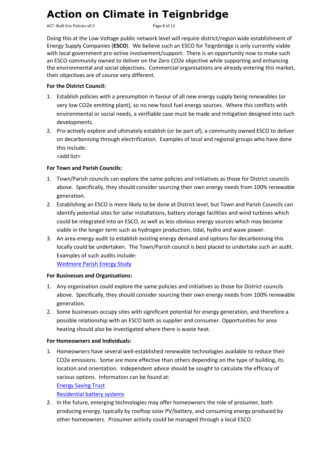ACT- Built Env Policies v0.5 extending the state of 13

Doing this at the Low Voltage public network level will require district/region wide establishment of Energy Supply Companies (**ESCO**). We believe such an ESCO for Teignbridge is only currently viable with local government pro-active involvement/support. There is an opportunity now to make such an ESCO community owned to deliver on the Zero CO2e objective while supporting and enhancing the environmental and social objectives. Commercial organisations are already entering this market, their objectives are of course very different.

### **For the District Council:**

- 1. Establish policies with a presumption in favour of all new energy supply being renewables (or very low CO2e emitting plant), so no new fossil fuel energy sources. Where this conflicts with environmental or social needs, a verifiable case must be made and mitigation designed into such developments.
- 2. Pro-actively explore and ultimately establish (or be part of), a community owned ESCO to deliver on decarbonising through electrification. Examples of local and regional groups who have done this include:

<add list>

### **For Town and Parish Councils:**

- 1. Town/Parish councils can explore the same policies and initiatives as those for District councils above. Specifically, they should consider sourcing their own energy needs from 100% renewable generation.
- 2. Establishing an ESCO is more likely to be done at District level, but Town and Parish Councils can identify potential sites for solar installations, battery storage facilities and wind turbines which could be integrated into an ESCO, as well as less obvious energy sources which may become viable in the longer term such as hydrogen production, tidal, hydro and wave power.
- 3. An area energy audit to establish existing energy demand and options for decarbonising this locally could be undertaken. The Town/Parish council is best placed to undertake such an audit. Examples of such audits include:

[Wedmore Parish Energy Study](http://teignenergycommunities.co.uk/wp-content/uploads/2019/10/Wedmore-Energy-Study-Final-report-05-10-2019.pdf)

### **For Businesses and Organisations:**

- 1. Any organisation could explore the same policies and initiatives as those for District councils above. Specifically, they should consider sourcing their own energy needs from 100% renewable generation.
- 2. Some businesses occupy sites with significant potential for energy generation, and therefore a possible relationship with an ESCO both as supplier and consumer. Opportunities for area heating should also be investigated where there is waste heat.

### **For Homeowners and Individuals:**

1. Homeowners have several well-established renewable technologies available to reduce their CO2e emissions. Some are more effective than others depending on the type of building, its location and orientation. Independent advice should be sought to calculate the efficacy of various options. Information can be found at:

### [Energy Saving Trust](https://www.energysavingtrust.org.uk/renewable-energy)

### [Residential battery systems](http://teignenergycommunities.co.uk/wp-content/uploads/2018/07/TNA-Residential-Battery-Systems-v1.1.pdf)

2. In the future, emerging technologies may offer homeowners the role of prosumer, both producing energy, typically by rooftop solar PV/battery, and consuming energy produced by other homeowners. Prosumer activity could be managed through a local ESCO.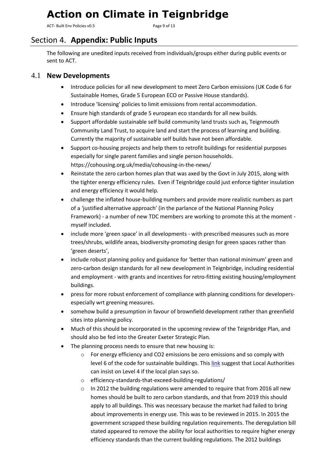ACT- Built Env Policies v0.5 extending the Second Page 9 of 13

### <span id="page-8-1"></span><span id="page-8-0"></span>Section 4. **Appendix: Public Inputs**

The following are unedited inputs received from individuals/groups either during public events or sent to ACT.

### 4.1 **New Developments**

- Introduce policies for all new development to meet Zero Carbon emissions (UK Code 6 for Sustainable Homes, Grade 5 European ECO or Passive House standards).
- Introduce 'licensing' policies to limit emissions from rental accommodation.
- Ensure high standards of grade 5 european eco standards for all new builds.
- Support affordable sustainable self build community land trusts such as, Teignmouth Community Land Trust, to acquire land and start the process of learning and building. Currently the majority of sustainable self builds have not been affordable.
- Support co-housing projects and help them to retrofit buildings for residential purposes especially for single parent families and single person households. [https://cohousing.org.uk/media/cohousing-in-the-news/](https://l.facebook.com/l.php?u=https%3A%2F%2Fcohousing.org.uk%2Fmedia%2Fcohousing-in-the-news%2F&h=AT3mNiC85whtF1IszLsb6NKYrDlJq4VIU-Tuk6bkz6M866YlMZTjAvKWa77wPJ-v4hPE2PZ9jhtzPkDhBCS8oW4NK98y2eAfAen2YfBKJb0UCBzv-vVwAz3yVc4vSMfT87PDWsWxWpP7u7Y)
- Reinstate the zero carbon homes plan that was axed by the Govt in July 2015, along with the tighter energy efficiency rules. Even if Teignbridge could just enforce tighter insulation and energy efficiency it would help.
- challenge the inflated house-building numbers and provide more realistic numbers as part of a 'justified alternative approach' (in the parlance of the National Planning Policy Framework) - a number of new TDC members are working to promote this at the moment myself included.
- include more 'green space' in all developments with prescribed measures such as more trees/shrubs, wildlife areas, biodiversity-promoting design for green spaces rather than 'green deserts',
- include robust planning policy and guidance for 'better than national minimum' green and zero-carbon design standards for all new development in Teignbridge, including residential and employment - with grants and incentives for retro-fitting existing housing/employment buildings.
- press for more robust enforcement of compliance with planning conditions for developersespecially wrt greening measures.
- somehow build a presumption in favour of brownfield development rather than greenfield sites into planning policy.
- Much of this should be incorporated in the upcoming review of the Teignbridge Plan, and should also be fed into the Greater Exeter Strategic Plan.
- The planning process needs to ensure that new housing is:
	- o For energy efficiency and CO2 emissions be zero emissions and so comply with level 6 of the code for sustainable buildings. This [link](https://www.burges-salmon.com/news-and-insight/legal-updates/can-local-authorities-adopt-energy-efficiency-standards-that-exceed-building-regulations/) suggest that Local Authorities can insist on Level 4 if the local plan says so.
	- o efficiency-standards-that-exceed-building-regulations/
	- $\circ$  In 2012 the building regulations were amended to require that from 2016 all new homes should be built to zero carbon standards, and that from 2019 this should apply to all buildings. This was necessary because the market had failed to bring about improvements in energy use. This was to be reviewed in 2015. In 2015 the government scrapped these building regulation requirements. The deregulation bill stated appeared to remove the ability for local authorities to require higher energy efficiency standards than the current building regulations. The 2012 buildings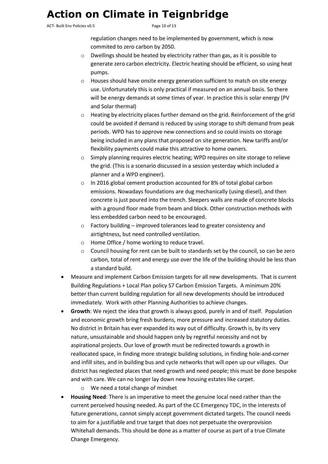ACT- Built Env Policies v0.5 extending the control of 13

regulation changes need to be implemented by government, which is now commited to zero carbon by 2050.

- $\circ$  Dwellings should be heated by electricity rather than gas, as it is possible to generate zero carbon electricity. Electric heating should be efficient, so using heat pumps.
- o Houses should have onsite energy generation sufficient to match on site energy use. Unfortunately this is only practical if measured on an annual basis. So there will be energy demands at some times of year. In practice this is solar energy (PV and Solar thermal)
- $\circ$  Heating by electricity places further demand on the grid. Reinforcement of the grid could be avoided if demand is reduced by using storage to shift demand from peak periods. WPD has to approve new connections and so could insists on storage being included in any plans that proposed on site generation. New tariffs and/or flexibility payments could make this attractive to home owners.
- $\circ$  Simply planning requires electric heating; WPD requires on site storage to relieve the grid. (This is a scenario discussed in a session yesterday which included a planner and a WPD engineer).
- o In 2016 global cement production accounted for 8% of total global carbon emissions. Nowadays foundations are dug mechanically (using diesel), and then concrete is just poured into the trench. Sleepers walls are made of concrete blocks with a ground floor made from beam and block. Other construction methods with less embedded carbon need to be encouraged.
- o Factory building improved tolerances lead to greater consistency and airtightness, but need controlled ventilation.
- o Home Office / home working to reduce travel.
- $\circ$  Council housing for rent can be built to standards set by the council, so can be zero carbon, total of rent and energy use over the life of the building should be less than a standard build.
- Measure and implement Carbon Emission targets for all new developments. That is current Building Regulations + Local Plan policy S7 Carbon Emission Targets. A minimum 20% better than current building regulation for all new developments should be introduced immediately. Work with other Planning Authorities to achieve changes.
- **Growth**: We reject the idea that growth is always good, purely in and of itself. Population and economic growth bring fresh burdens, more pressure and increased statutory duties. No district in Britain has ever expanded its way out of difficulty. Growth is, by its very nature, unsustainable and should happen only by regretful necessity and not by aspirational projects. Our love of growth must be redirected towards a growth in reallocated space, in finding more strategic building solutions, in finding hole-and-corner and infill sites, and in building bus and cycle networks that will open up our villages. Our district has neglected places that need growth and need people; this must be done bespoke and with care. We can no longer lay down new housing estates like carpet.
	- o We need a total change of mindset
- **Housing Need**: There is an imperative to meet the genuine local need rather than the current perceived housing needed. As part of the CC Emergency TDC, in the interests of future generations, cannot simply accept government dictated targets. The council needs to aim for a justifiable and true target that does not perpetuate the overprovision Whitehall demands. This should be done as a matter of course as part of a true Climate Change Emergency.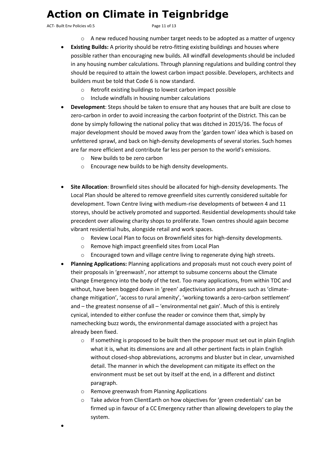ACT- Built Env Policies v0.5 example 20 and 20 approximate Page 11 of 13

- $\circ$  A new reduced housing number target needs to be adopted as a matter of urgency
- **Existing Builds:** A priority should be retro-fitting existing buildings and houses where possible rather than encouraging new builds. All windfall developments should be included in any housing number calculations. Through planning regulations and building control they should be required to attain the lowest carbon impact possible. Developers, architects and builders must be told that Code 6 is now standard.
	- o Retrofit existing buildings to lowest carbon impact possible
	- o Include windfalls in housing number calculations
- **Development**: Steps should be taken to ensure that any houses that are built are close to zero-carbon in order to avoid increasing the carbon footprint of the District. This can be done by simply following the national policy that was ditched in 2015/16. The focus of major development should be moved away from the 'garden town' idea which is based on unfettered sprawl, and back on high-density developments of several stories. Such homes are far more efficient and contribute far less per person to the world's emissions.
	- o New builds to be zero carbon
	- o Encourage new builds to be high density developments.
- **Site Allocation**: Brownfield sites should be allocated for high-density developments. The Local Plan should be altered to remove greenfield sites currently considered suitable for development. Town Centre living with medium-rise developments of between 4 and 11 storeys, should be actively promoted and supported. Residential developments should take precedent over allowing charity shops to proliferate. Town centres should again become vibrant residential hubs, alongside retail and work spaces.
	- o Review Local Plan to focus on Brownfield sites for high-density developments.
	- o Remove high impact greenfield sites from Local Plan
	- $\circ$  Encouraged town and village centre living to regenerate dying high streets.
- **Planning Applications:** Planning applications and proposals must not couch every point of their proposals in 'greenwash', nor attempt to subsume concerns about the Climate Change Emergency into the body of the text. Too many applications, from within TDC and without, have been bogged down in 'green' adjectivisation and phrases such as 'climatechange mitigation', 'access to rural amenity', 'working towards a zero-carbon settlement' and – the greatest nonsense of all – 'environmental net gain'. Much of this is entirely cynical, intended to either confuse the reader or convince them that, simply by namechecking buzz words, the environmental damage associated with a project has already been fixed.
	- $\circ$  If something is proposed to be built then the proposer must set out in plain English what it is, what its dimensions are and all other pertinent facts in plain English without closed-shop abbreviations, acronyms and bluster but in clear, unvarnished detail. The manner in which the development can mitigate its effect on the environment must be set out by itself at the end, in a different and distinct paragraph.
	- o Remove greenwash from Planning Applications
	- o Take advice from ClientEarth on how objectives for 'green credentials' can be firmed up in favour of a CC Emergency rather than allowing developers to play the system.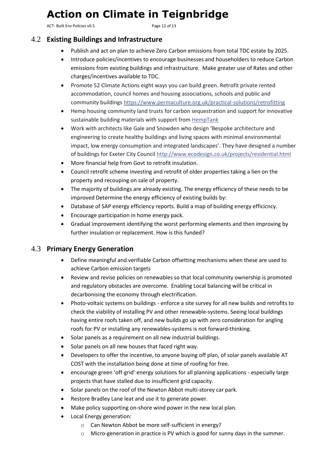ACT- Built Env Policies v0.5 example 20 and 20 and 20 and 20 and 20 and 20 and 20 and 20 and 20 and 20 and 20 and 20 and 20 and 20 and 20 and 20 and 20 and 20 and 20 and 20 and 20 and 20 and 20 and 20 and 20 and 20 and 20

### <span id="page-11-0"></span>4.2 **Existing Buildings and Infrastructure**

- Publish and act on plan to achieve Zero Carbon emissions from total TDC estate by 2025.
- Introduce policies/incentives to encourage businesses and householders to reduce Carbon emissions from existing buildings and infrastructure. Make greater use of Rates and other charges/incentives available to TDC.
- Promote 52 Climate Actions eight ways you can build green. Retrofit private rented accommodation, council homes and housing associations, schools and public and community building[s https://www.permaculture.org.uk/practical-solutions/retrofitting](https://l.facebook.com/l.php?u=https%3A%2F%2Fwww.permaculture.org.uk%2Fpractical-solutions%2Fretrofitting&h=AT32lhBzXQT5HKr7Bc10gKQrsuUCWj7c8U3oZgLzqXRMgsCtZu2Jz51-WBxVgl9MiRn_Q45mHWndzk_aAwfDPNCafkqLctWQrbgYZm7_i5PN-puTQhVrZzrW6cTxUyLANJSjn1Kk-INqME8)
- Hemp housing community land trusts for carbon sequestration and support for innovative sustainable building materials with support from [HempTank](https://www.facebook.com/n/?HempTank%2F&aref=1563143765975092&medium=email&mid=58db969533b5dG5af3166f76e2G58dabc4e76034G85&bcode=2.1563207196.Abx2JJ31SEd4Y4Pf_tg&n_m=audrey%40boveyclimateaction.org.uk)
- Work with architects like Gale and Snowden who design 'Bespoke architecture and engineering to create healthy buildings and living spaces with minimal environmental impact, low energy consumption and integrated landscapes'. They have designed a number of buildings for Exeter City Counci[l http://www.ecodesign.co.uk/projects/residential.html](http://l.facebook.com/l.php?u=http%3A%2F%2Fwww.ecodesign.co.uk%2Fprojects%2Fresidential.html&h=AT2mSlTtiOjlSm132xQWVYlFX0DMSVqEayWGnL5__0NP3mYLwPWHwroIxfVcyr8g2b1OF9sYL2YT0LS56I9zhRo3R2Ff09DTdljLo8U7TheZiFcKjY34gEE7QSQ6H_uqGqTPhRnyyUO3I3w)
- More financial help from Govt to retrofit insulation.
- Council retrofit scheme investing and retrofit of older properties taking a lien on the property and recouping on sale of property.
- The majority of buildings are already existing. The energy efficiency of these needs to be improved Determine the energy efficiency of existing builds by:
- Database of SAP energy efficiency reports. Build a map of building energy efficicncy.
- Encourage participation in home energy pack.
- Gradual improvement identifying the worst performing elements and then improving by further insulation or replacement. How is this funded?

### <span id="page-11-1"></span>4.3 **Primary Energy Generation**

- Define meaningful and verifiable Carbon offsetting mechanisms when these are used to achieve Carbon emission targets
- Review and revise policies on renewables so that local community ownership is promoted and regulatory obstacles are overcome. Enabling Local balancing will be critical in decarbonising the economy through electrification.
- Photo-voltaic systems on buildings enforce a site survey for all new builds and retrofits to check the viability of installing PV and other renewable-systems. Seeing local buildings having entire roofs taken off, and new builds go up with zero consideration for angling roofs for PV or installing any renewables-systems is not forward-thinking.
- Solar panels as a requirement on all new industrial buildings.
- Solar panels on all new houses that faced right way.
- Developers to offer the incentive, to anyone buying off plan, of solar panels available AT COST with the installation being done at time of roofing for free.
- encourage green 'off-grid' energy solutions for all planning applications especially large projects that have stalled due to insufficient grid capacity.
- Solar panels on the roof of the Newton Abbot multi-storey car park.
- Restore Bradley Lane leat and use it to generate power.
- Make policy supporting on-shore wind power in the new local plan.
- Local Energy generation:
	- o Can Newton Abbot be more self-sufficient in energy?
	- o Micro-generation in practice is PV which is good for sunny days in the summer.